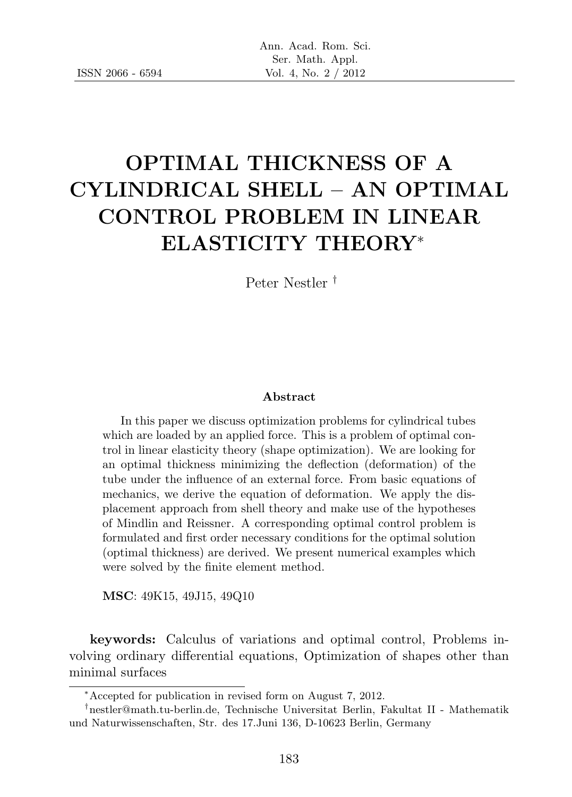# OPTIMAL THICKNESS OF A CYLINDRICAL SHELL – AN OPTIMAL CONTROL PROBLEM IN LINEAR ELASTICITY THEORY<sup>∗</sup>

Peter Nestler †

#### Abstract

In this paper we discuss optimization problems for cylindrical tubes which are loaded by an applied force. This is a problem of optimal control in linear elasticity theory (shape optimization). We are looking for an optimal thickness minimizing the deflection (deformation) of the tube under the influence of an external force. From basic equations of mechanics, we derive the equation of deformation. We apply the displacement approach from shell theory and make use of the hypotheses of Mindlin and Reissner. A corresponding optimal control problem is formulated and first order necessary conditions for the optimal solution (optimal thickness) are derived. We present numerical examples which were solved by the finite element method.

MSC: 49K15, 49J15, 49Q10

keywords: Calculus of variations and optimal control, Problems involving ordinary differential equations, Optimization of shapes other than minimal surfaces

<sup>∗</sup>Accepted for publication in revised form on August 7, 2012.

<sup>†</sup>nestler@math.tu-berlin.de, Technische Universitat Berlin, Fakultat II - Mathematik und Naturwissenschaften, Str. des 17.Juni 136, D-10623 Berlin, Germany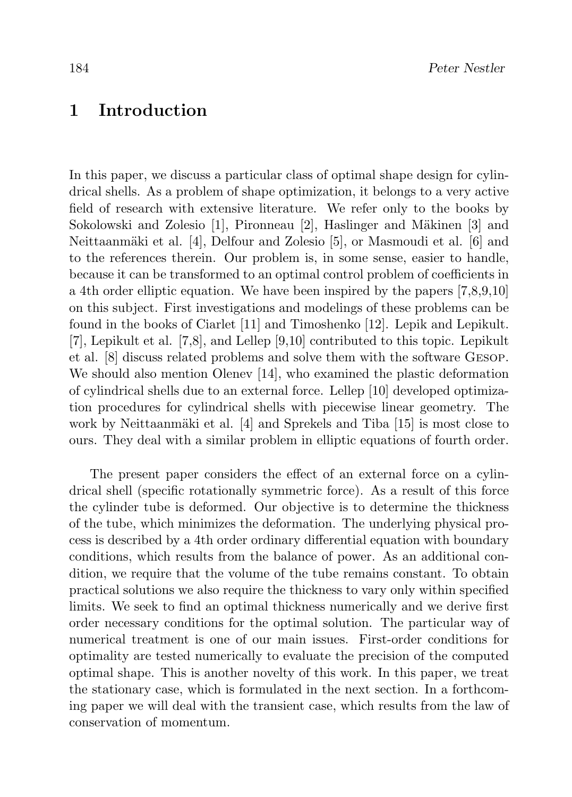#### 1 Introduction

In this paper, we discuss a particular class of optimal shape design for cylindrical shells. As a problem of shape optimization, it belongs to a very active field of research with extensive literature. We refer only to the books by Sokolowski and Zolesio [1], Pironneau [2], Haslinger and Mäkinen [3] and Neittaanmäki et al. [4], Delfour and Zolesio [5], or Masmoudi et al. [6] and to the references therein. Our problem is, in some sense, easier to handle, because it can be transformed to an optimal control problem of coefficients in a 4th order elliptic equation. We have been inspired by the papers [7,8,9,10] on this subject. First investigations and modelings of these problems can be found in the books of Ciarlet [11] and Timoshenko [12]. Lepik and Lepikult. [7], Lepikult et al. [7,8], and Lellep [9,10] contributed to this topic. Lepikult et al. [8] discuss related problems and solve them with the software Gesop. We should also mention Olenev [14], who examined the plastic deformation of cylindrical shells due to an external force. Lellep [10] developed optimization procedures for cylindrical shells with piecewise linear geometry. The work by Neittaanmäki et al.  $[4]$  and Sprekels and Tiba  $[15]$  is most close to ours. They deal with a similar problem in elliptic equations of fourth order.

The present paper considers the effect of an external force on a cylindrical shell (specific rotationally symmetric force). As a result of this force the cylinder tube is deformed. Our objective is to determine the thickness of the tube, which minimizes the deformation. The underlying physical process is described by a 4th order ordinary differential equation with boundary conditions, which results from the balance of power. As an additional condition, we require that the volume of the tube remains constant. To obtain practical solutions we also require the thickness to vary only within specified limits. We seek to find an optimal thickness numerically and we derive first order necessary conditions for the optimal solution. The particular way of numerical treatment is one of our main issues. First-order conditions for optimality are tested numerically to evaluate the precision of the computed optimal shape. This is another novelty of this work. In this paper, we treat the stationary case, which is formulated in the next section. In a forthcoming paper we will deal with the transient case, which results from the law of conservation of momentum.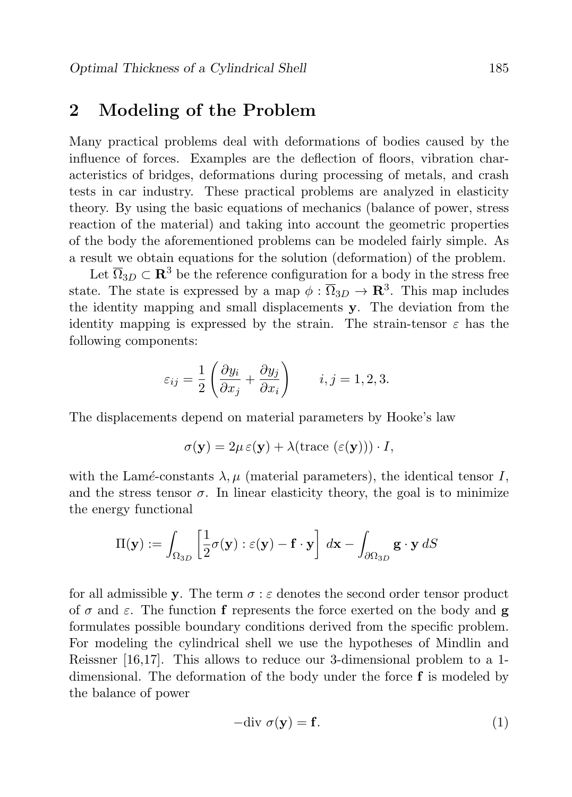#### 2 Modeling of the Problem

Many practical problems deal with deformations of bodies caused by the influence of forces. Examples are the deflection of floors, vibration characteristics of bridges, deformations during processing of metals, and crash tests in car industry. These practical problems are analyzed in elasticity theory. By using the basic equations of mechanics (balance of power, stress reaction of the material) and taking into account the geometric properties of the body the aforementioned problems can be modeled fairly simple. As a result we obtain equations for the solution (deformation) of the problem.

Let  $\overline{\Omega}_{3D} \subset \mathbb{R}^3$  be the reference configuration for a body in the stress free state. The state is expressed by a map  $\phi : \overline{\Omega}_{3D} \to \mathbf{R}^3$ . This map includes the identity mapping and small displacements y. The deviation from the identity mapping is expressed by the strain. The strain-tensor  $\varepsilon$  has the following components:

$$
\varepsilon_{ij} = \frac{1}{2} \left( \frac{\partial y_i}{\partial x_j} + \frac{\partial y_j}{\partial x_i} \right) \qquad i, j = 1, 2, 3.
$$

The displacements depend on material parameters by Hooke's law

$$
\sigma(\mathbf{y}) = 2\mu \,\varepsilon(\mathbf{y}) + \lambda(\text{trace } (\varepsilon(\mathbf{y}))) \cdot I,
$$

with the Lamé-constants  $\lambda, \mu$  (material parameters), the identical tensor I, and the stress tensor  $\sigma$ . In linear elasticity theory, the goal is to minimize the energy functional

$$
\Pi(\mathbf{y}) := \int_{\Omega_{3D}} \left[ \frac{1}{2} \sigma(\mathbf{y}) : \varepsilon(\mathbf{y}) - \mathbf{f} \cdot \mathbf{y} \right] d\mathbf{x} - \int_{\partial \Omega_{3D}} \mathbf{g} \cdot \mathbf{y} dS
$$

for all admissible y. The term  $\sigma : \varepsilon$  denotes the second order tensor product of  $\sigma$  and  $\varepsilon$ . The function f represents the force exerted on the body and g formulates possible boundary conditions derived from the specific problem. For modeling the cylindrical shell we use the hypotheses of Mindlin and Reissner [16,17]. This allows to reduce our 3-dimensional problem to a 1 dimensional. The deformation of the body under the force f is modeled by the balance of power

$$
-\text{div }\sigma(\mathbf{y}) = \mathbf{f}.\tag{1}
$$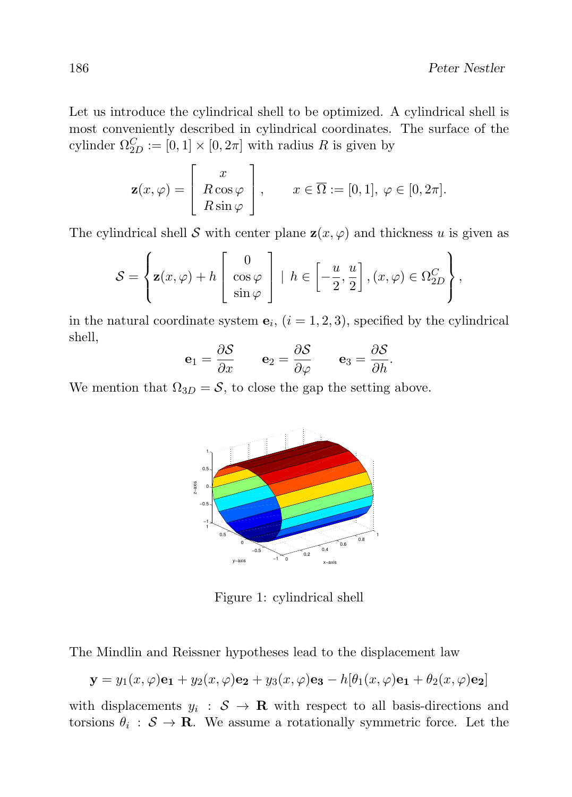Let us introduce the cylindrical shell to be optimized. A cylindrical shell is most conveniently described in cylindrical coordinates. The surface of the cylinder  $\Omega_{2D}^C := [0,1] \times [0,2\pi]$  with radius R is given by

$$
\mathbf{z}(x,\varphi) = \begin{bmatrix} x \\ R\cos\varphi \\ R\sin\varphi \end{bmatrix}, \quad x \in \overline{\Omega} := [0,1], \varphi \in [0,2\pi].
$$

The cylindrical shell S with center plane  $z(x, \varphi)$  and thickness u is given as

$$
S = \left\{ \mathbf{z}(x,\varphi) + h \begin{bmatrix} 0 \\ \cos \varphi \\ \sin \varphi \end{bmatrix} \middle| h \in \left[ -\frac{u}{2}, \frac{u}{2} \right], (x,\varphi) \in \Omega_{2D}^C \right\},\
$$

in the natural coordinate system  $\mathbf{e}_i$ ,  $(i = 1, 2, 3)$ , specified by the cylindrical shell,

$$
\mathbf{e}_1 = \frac{\partial \mathcal{S}}{\partial x} \qquad \mathbf{e}_2 = \frac{\partial \mathcal{S}}{\partial \varphi} \qquad \mathbf{e}_3 = \frac{\partial \mathcal{S}}{\partial h}.
$$

We mention that  $\Omega_{3D} = S$ , to close the gap the setting above.



Figure 1: cylindrical shell

The Mindlin and Reissner hypotheses lead to the displacement law

$$
\mathbf{y} = y_1(x,\varphi)\mathbf{e}_1 + y_2(x,\varphi)\mathbf{e}_2 + y_3(x,\varphi)\mathbf{e}_3 - h[\theta_1(x,\varphi)\mathbf{e}_1 + \theta_2(x,\varphi)\mathbf{e}_2]
$$

with displacements  $y_i : \mathcal{S} \to \mathbf{R}$  with respect to all basis-directions and torsions  $\theta_i : \mathcal{S} \to \mathbf{R}$ . We assume a rotationally symmetric force. Let the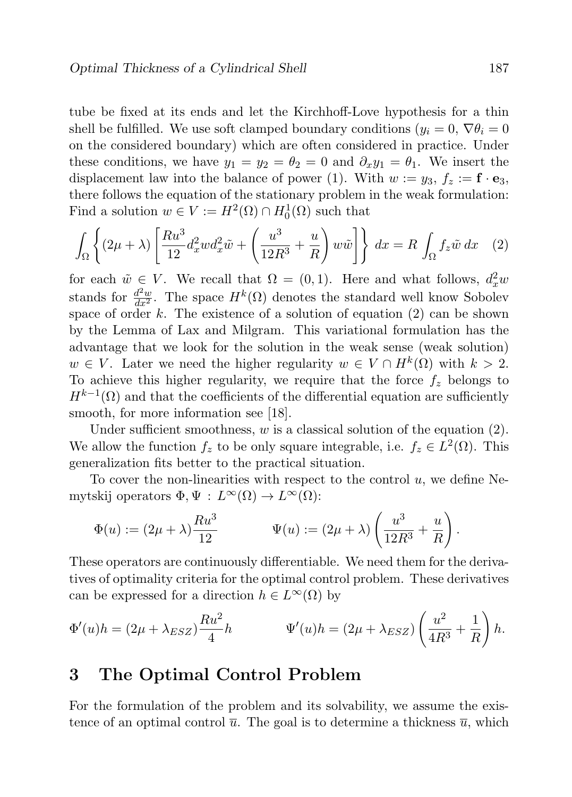tube be fixed at its ends and let the Kirchhoff-Love hypothesis for a thin shell be fulfilled. We use soft clamped boundary conditions  $(y_i = 0, \nabla \theta_i = 0)$ on the considered boundary) which are often considered in practice. Under these conditions, we have  $y_1 = y_2 = \theta_2 = 0$  and  $\partial_x y_1 = \theta_1$ . We insert the displacement law into the balance of power (1). With  $w := y_3, f_z := \mathbf{f} \cdot \mathbf{e}_3$ , there follows the equation of the stationary problem in the weak formulation: Find a solution  $w \in V := H^2(\Omega) \cap H_0^1(\Omega)$  such that

$$
\int_{\Omega} \left\{ (2\mu + \lambda) \left[ \frac{Ru^3}{12} d_x^2 w d_x^2 \tilde{w} + \left( \frac{u^3}{12R^3} + \frac{u}{R} \right) w \tilde{w} \right] \right\} dx = R \int_{\Omega} f_z \tilde{w} dx \quad (2)
$$

for each  $\tilde{w} \in V$ . We recall that  $\Omega = (0, 1)$ . Here and what follows,  $d_x^2 w$ stands for  $\frac{d^2w}{dx^2}$ . The space  $H^k(\Omega)$  denotes the standard well know Sobolev space of order k. The existence of a solution of equation  $(2)$  can be shown by the Lemma of Lax and Milgram. This variational formulation has the advantage that we look for the solution in the weak sense (weak solution)  $w \in V$ . Later we need the higher regularity  $w \in V \cap H^k(\Omega)$  with  $k > 2$ . To achieve this higher regularity, we require that the force  $f<sub>z</sub>$  belongs to  $H^{k-1}(\Omega)$  and that the coefficients of the differential equation are sufficiently smooth, for more information see [18].

Under sufficient smoothness,  $w$  is a classical solution of the equation  $(2)$ . We allow the function  $f_z$  to be only square integrable, i.e.  $f_z \in L^2(\Omega)$ . This generalization fits better to the practical situation.

To cover the non-linearities with respect to the control  $u$ , we define Nemytskij operators  $\Phi, \Psi : L^{\infty}(\Omega) \to L^{\infty}(\Omega)$ :

$$
\Phi(u) := (2\mu + \lambda) \frac{Ru^3}{12} \qquad \Psi(u) := (2\mu + \lambda) \left(\frac{u^3}{12R^3} + \frac{u}{R}\right).
$$

These operators are continuously differentiable. We need them for the derivatives of optimality criteria for the optimal control problem. These derivatives can be expressed for a direction  $h \in L^{\infty}(\Omega)$  by

$$
\Phi'(u)h = (2\mu + \lambda_{ESZ})\frac{Ru^2}{4}h \qquad \Psi'(u)h = (2\mu + \lambda_{ESZ})\left(\frac{u^2}{4R^3} + \frac{1}{R}\right)h.
$$

#### 3 The Optimal Control Problem

For the formulation of the problem and its solvability, we assume the existence of an optimal control  $\overline{u}$ . The goal is to determine a thickness  $\overline{u}$ , which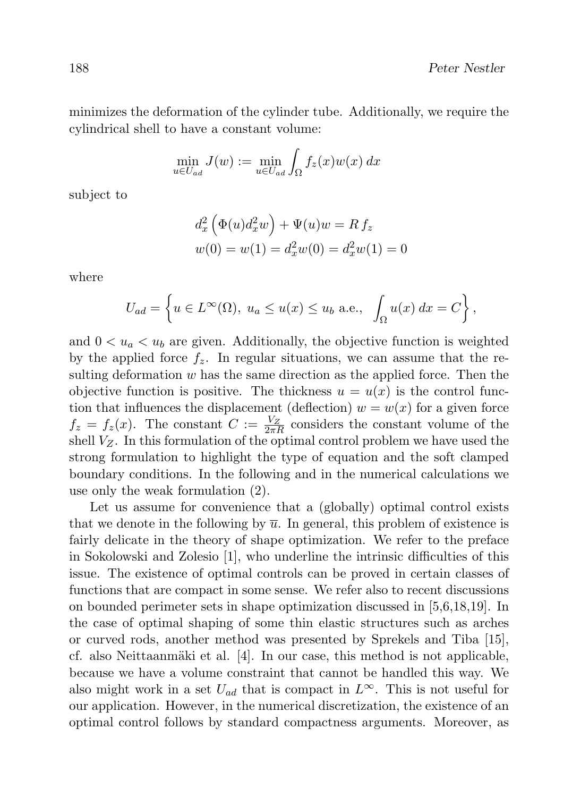minimizes the deformation of the cylinder tube. Additionally, we require the cylindrical shell to have a constant volume:

$$
\min_{u \in U_{ad}} J(w) := \min_{u \in U_{ad}} \int_{\Omega} f_z(x) w(x) dx
$$

subject to

$$
d_x^2 \left( \Phi(u) d_x^2 w \right) + \Psi(u) w = R f_z
$$
  

$$
w(0) = w(1) = d_x^2 w(0) = d_x^2 w(1) = 0
$$

where

$$
U_{ad} = \left\{ u \in L^{\infty}(\Omega), \ u_a \le u(x) \le u_b \text{ a.e., } \int_{\Omega} u(x) dx = C \right\},\
$$

and  $0 < u_a < u_b$  are given. Additionally, the objective function is weighted by the applied force  $f_z$ . In regular situations, we can assume that the resulting deformation  $w$  has the same direction as the applied force. Then the objective function is positive. The thickness  $u = u(x)$  is the control function that influences the displacement (deflection)  $w = w(x)$  for a given force  $f_z = f_z(x)$ . The constant  $C := \frac{V_Z}{2\pi R}$  considers the constant volume of the shell  $V_Z$ . In this formulation of the optimal control problem we have used the strong formulation to highlight the type of equation and the soft clamped boundary conditions. In the following and in the numerical calculations we use only the weak formulation (2).

Let us assume for convenience that a (globally) optimal control exists that we denote in the following by  $\overline{u}$ . In general, this problem of existence is fairly delicate in the theory of shape optimization. We refer to the preface in Sokolowski and Zolesio [1], who underline the intrinsic difficulties of this issue. The existence of optimal controls can be proved in certain classes of functions that are compact in some sense. We refer also to recent discussions on bounded perimeter sets in shape optimization discussed in [5,6,18,19]. In the case of optimal shaping of some thin elastic structures such as arches or curved rods, another method was presented by Sprekels and Tiba [15], cf. also Neittaanmäki et al.  $[4]$ . In our case, this method is not applicable, because we have a volume constraint that cannot be handled this way. We also might work in a set  $U_{ad}$  that is compact in  $L^{\infty}$ . This is not useful for our application. However, in the numerical discretization, the existence of an optimal control follows by standard compactness arguments. Moreover, as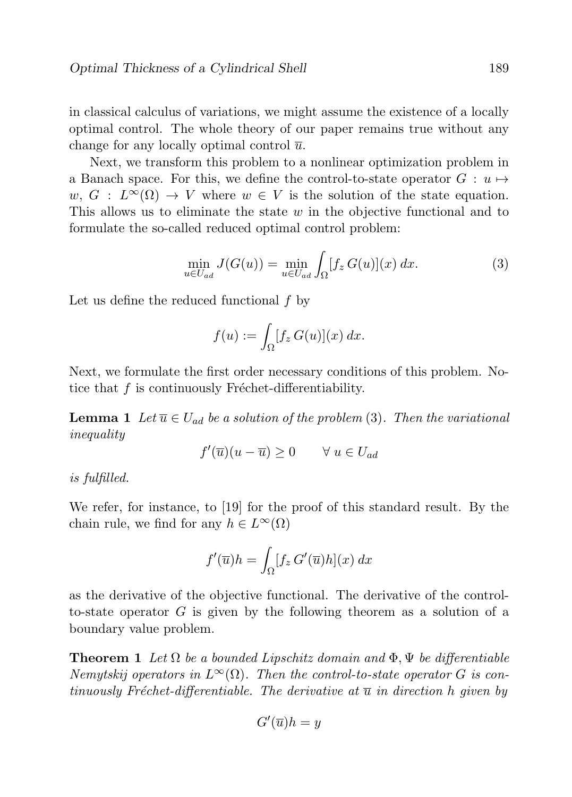in classical calculus of variations, we might assume the existence of a locally optimal control. The whole theory of our paper remains true without any change for any locally optimal control  $\overline{u}$ .

Next, we transform this problem to a nonlinear optimization problem in a Banach space. For this, we define the control-to-state operator  $G: u \mapsto$  $w, G : L^{\infty}(\Omega) \to V$  where  $w \in V$  is the solution of the state equation. This allows us to eliminate the state  $w$  in the objective functional and to formulate the so-called reduced optimal control problem:

$$
\min_{u \in U_{ad}} J(G(u)) = \min_{u \in U_{ad}} \int_{\Omega} [f_z G(u)](x) dx.
$$
\n(3)

Let us define the reduced functional f by

$$
f(u) := \int_{\Omega} [f_z \, G(u)](x) \, dx.
$$

Next, we formulate the first order necessary conditions of this problem. Notice that  $f$  is continuously Fréchet-differentiability.

**Lemma 1** Let  $\overline{u} \in U_{ad}$  be a solution of the problem (3). Then the variational inequality

$$
f'(\overline{u})(u - \overline{u}) \ge 0 \qquad \forall \ u \in U_{ad}
$$

is fulfilled.

We refer, for instance, to [19] for the proof of this standard result. By the chain rule, we find for any  $h \in L^{\infty}(\Omega)$ 

$$
f'(\overline{u})h = \int_{\Omega} [f_z G'(\overline{u})h](x) dx
$$

as the derivative of the objective functional. The derivative of the controlto-state operator  $G$  is given by the following theorem as a solution of a boundary value problem.

**Theorem 1** Let  $\Omega$  be a bounded Lipschitz domain and  $\Phi$ ,  $\Psi$  be differentiable Nemytskij operators in  $L^{\infty}(\Omega)$ . Then the control-to-state operator G is continuously Fréchet-differentiable. The derivative at  $\overline{u}$  in direction h given by

$$
G'(\overline{u})h=y
$$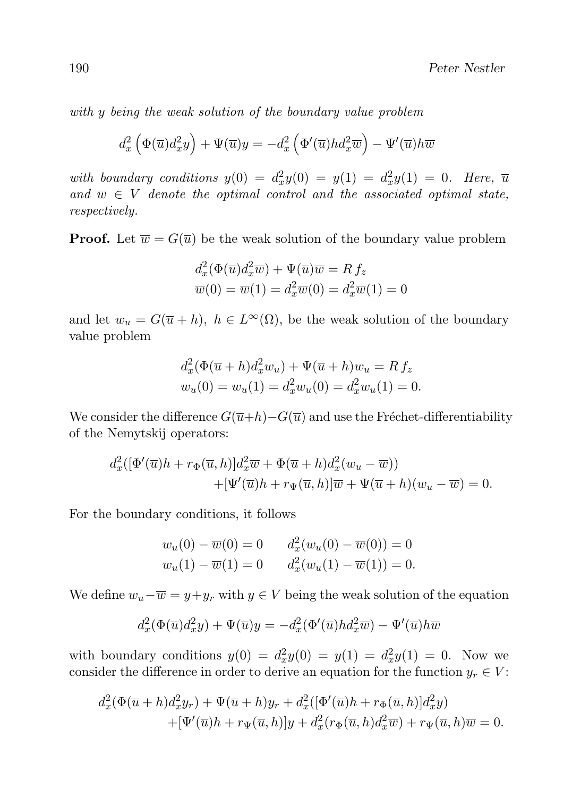with y being the weak solution of the boundary value problem

$$
d_x^2 \left( \Phi(\overline{u}) d_x^2 y \right) + \Psi(\overline{u}) y = -d_x^2 \left( \Phi'(\overline{u}) h d_x^2 \overline{w} \right) - \Psi'(\overline{u}) h \overline{w}
$$

with boundary conditions  $y(0) = d_x^2 y(0) = y(1) = d_x^2 y(1) = 0$ . Here,  $\overline{u}$ and  $\overline{w} \in V$  denote the optimal control and the associated optimal state, respectively.

**Proof.** Let  $\overline{w} = G(\overline{u})$  be the weak solution of the boundary value problem

$$
d_x^2(\Phi(\overline{u})d_x^2\overline{w}) + \Psi(\overline{u})\overline{w} = R f_z
$$
  

$$
\overline{w}(0) = \overline{w}(1) = d_x^2 \overline{w}(0) = d_x^2 \overline{w}(1) = 0
$$

and let  $w_u = G(\overline{u} + h)$ ,  $h \in L^{\infty}(\Omega)$ , be the weak solution of the boundary value problem

$$
d_x^2(\Phi(\overline{u}+h)d_x^2w_u) + \Psi(\overline{u}+h)w_u = R f_z
$$
  

$$
w_u(0) = w_u(1) = d_x^2w_u(0) = d_x^2w_u(1) = 0.
$$

We consider the difference  $G(\overline{u}+h)-G(\overline{u})$  and use the Fréchet-differentiability of the Nemytskij operators:

$$
d_x^2([\Phi'(\overline{u})h + r_{\Phi}(\overline{u}, h)]d_x^2\overline{w} + \Phi(\overline{u} + h)d_x^2(w_u - \overline{w}))
$$
  
 
$$
+[\Psi'(\overline{u})h + r_{\Psi}(\overline{u}, h)]\overline{w} + \Psi(\overline{u} + h)(w_u - \overline{w}) = 0.
$$

For the boundary conditions, it follows

$$
w_u(0) - \overline{w}(0) = 0 \t d_x^2(w_u(0) - \overline{w}(0)) = 0
$$
  

$$
w_u(1) - \overline{w}(1) = 0 \t d_x^2(w_u(1) - \overline{w}(1)) = 0.
$$

We define  $w_u - \overline{w} = y + y_r$  with  $y \in V$  being the weak solution of the equation

$$
d_x^2(\Phi(\overline{u})d_x^2y) + \Psi(\overline{u})y = -d_x^2(\Phi'(\overline{u})hd_x^2\overline{w}) - \Psi'(\overline{u})h\overline{w}
$$

with boundary conditions  $y(0) = d_x^2 y(0) = y(1) = d_x^2 y(1) = 0$ . Now we consider the difference in order to derive an equation for the function  $y_r \in V$ :

$$
d_x^2(\Phi(\overline{u}+h)d_x^2y_r) + \Psi(\overline{u}+h)y_r + d_x^2([\Phi'(\overline{u})h + r_{\Phi}(\overline{u},h)]d_x^2y) + [\Psi'(\overline{u})h + r_{\Psi}(\overline{u},h)]y + d_x^2(r_{\Phi}(\overline{u},h)d_x^2\overline{w}) + r_{\Psi}(\overline{u},h)\overline{w} = 0.
$$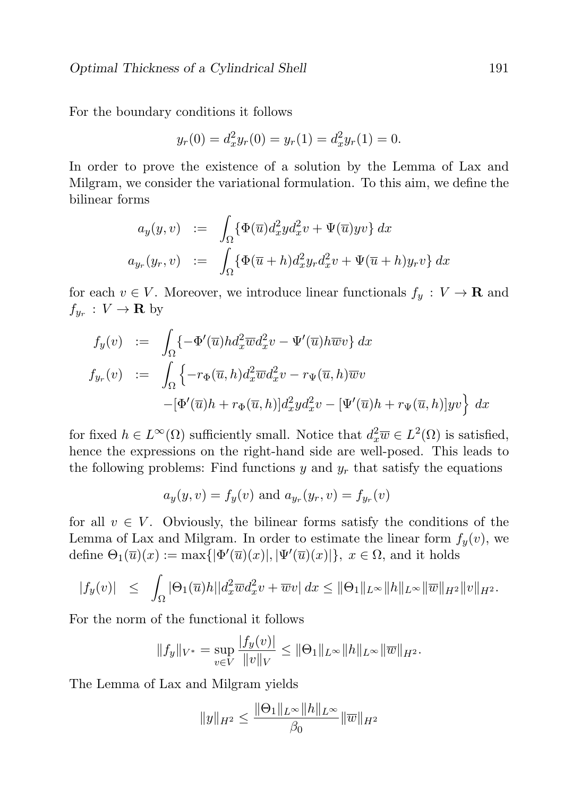For the boundary conditions it follows

$$
y_r(0) = d_x^2 y_r(0) = y_r(1) = d_x^2 y_r(1) = 0.
$$

In order to prove the existence of a solution by the Lemma of Lax and Milgram, we consider the variational formulation. To this aim, we define the bilinear forms

$$
a_y(y,v) := \int_{\Omega} {\{\Phi(\overline{u})d_x^2yd_x^2v + \Psi(\overline{u})yv\} dx}
$$
  

$$
a_{y_r}(y_r,v) := \int_{\Omega} {\{\Phi(\overline{u}+h)d_x^2y_r d_x^2v + \Psi(\overline{u}+h)y_rv\} dx}
$$

for each  $v \in V$ . Moreover, we introduce linear functionals  $f_y : V \to \mathbf{R}$  and  $f_{y_r}: V \to \mathbf{R}$  by

$$
f_y(v) := \int_{\Omega} \{-\Phi'(\overline{u})h d_x^2 \overline{w} d_x^2 v - \Psi'(\overline{u})h \overline{w} v\} dx
$$
  

$$
f_{y_r}(v) := \int_{\Omega} \{-r_{\Phi}(\overline{u}, h) d_x^2 \overline{w} d_x^2 v - r_{\Psi}(\overline{u}, h) \overline{w} v
$$
  

$$
-[\Phi'(\overline{u})h + r_{\Phi}(\overline{u}, h)] d_x^2 y d_x^2 v - [\Psi'(\overline{u})h + r_{\Psi}(\overline{u}, h)]yv\} dx
$$

for fixed  $h \in L^{\infty}(\Omega)$  sufficiently small. Notice that  $d_x^2 \overline{w} \in L^2(\Omega)$  is satisfied, hence the expressions on the right-hand side are well-posed. This leads to the following problems: Find functions  $y$  and  $y_r$  that satisfy the equations

$$
a_y(y, v) = f_y(v)
$$
 and  $a_{y_r}(y_r, v) = f_{y_r}(v)$ 

for all  $v \in V$ . Obviously, the bilinear forms satisfy the conditions of the Lemma of Lax and Milgram. In order to estimate the linear form  $f_y(v)$ , we define  $\Theta_1(\overline{u})(x) := \max\{|\Phi'(\overline{u})(x)|, |\Psi'(\overline{u})(x)|\}, x \in \Omega$ , and it holds

$$
|f_y(v)| \leq \int_{\Omega} |\Theta_1(\overline{u})h||d_x^2 \overline{w}d_x^2 v + \overline{w}v| dx \leq ||\Theta_1||_{L^{\infty}} ||h||_{L^{\infty}} ||\overline{w}||_{H^2} ||v||_{H^2}.
$$

For the norm of the functional it follows

$$
||f_y||_{V^*} = \sup_{v \in V} \frac{|f_y(v)|}{||v||_V} \le ||\Theta_1||_{L^{\infty}} ||h||_{L^{\infty}} ||\overline{w}||_{H^2}.
$$

The Lemma of Lax and Milgram yields

$$
||y||_{H^2} \le \frac{||\Theta_1||_{L^{\infty}}||h||_{L^{\infty}}}{\beta_0} ||\overline{w}||_{H^2}
$$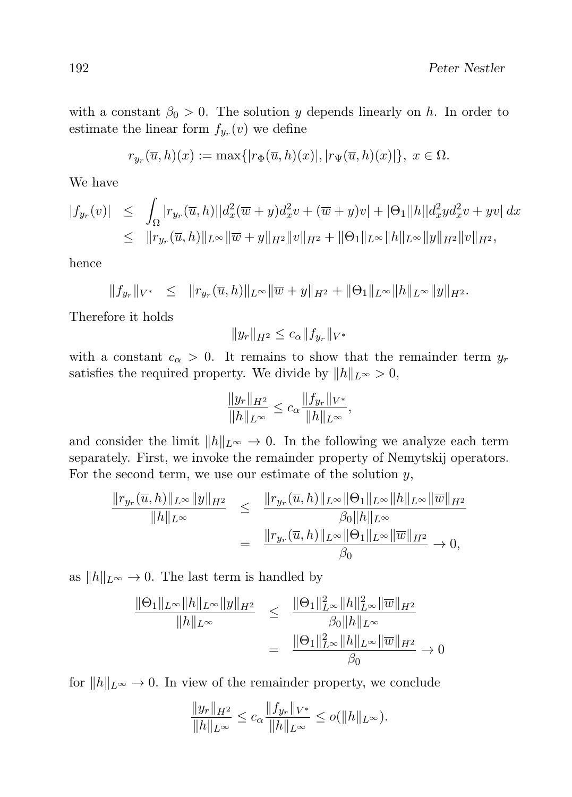with a constant  $\beta_0 > 0$ . The solution y depends linearly on h. In order to estimate the linear form  $f_{y_r}(v)$  we define

$$
r_{y_r}(\overline{u},h)(x) := \max\{|r_{\Phi}(\overline{u},h)(x)|, |r_{\Psi}(\overline{u},h)(x)|\}, x \in \Omega.
$$

We have

$$
\begin{array}{rcl}\n|f_{y_r}(v)| & \leq & \int_{\Omega} |r_{y_r}(\overline{u}, h)| |d_x^2(\overline{w} + y) d_x^2 v + (\overline{w} + y)v| + |\Theta_1||h||d_x^2 y d_x^2 v + yv| \, dx \\
& \leq & \|r_{y_r}(\overline{u}, h)\|_{L^\infty} \|\overline{w} + y\|_{H^2} \|v\|_{H^2} + \|\Theta_1\|_{L^\infty} \|h\|_{L^\infty} \|y\|_{H^2} \|v\|_{H^2},\n\end{array}
$$

hence

$$
||f_{y_r}||_{V^*} \leq ||r_{y_r}(\overline{u}, h)||_{L^{\infty}} ||\overline{w} + y||_{H^2} + ||\Theta_1||_{L^{\infty}} ||h||_{L^{\infty}} ||y||_{H^2}.
$$

Therefore it holds

$$
||y_r||_{H^2} \le c_\alpha ||f_{y_r}||_{V^*}
$$

with a constant  $c_{\alpha} > 0$ . It remains to show that the remainder term  $y_r$ satisfies the required property. We divide by  $||h||_{L^{\infty}} > 0$ ,

$$
\frac{\|y_r\|_{H^2}}{\|h\|_{L^{\infty}}} \le c_{\alpha} \frac{\|f_{y_r}\|_{V^*}}{\|h\|_{L^{\infty}}},
$$

and consider the limit  $||h||_{L^{\infty}} \to 0$ . In the following we analyze each term separately. First, we invoke the remainder property of Nemytskij operators. For the second term, we use our estimate of the solution  $y$ ,

$$
\frac{\|r_{y_r}(\overline{u},h)\|_{L^{\infty}}\|y\|_{H^2}}{\|h\|_{L^{\infty}}}\leq \frac{\|r_{y_r}(\overline{u},h)\|_{L^{\infty}}\|\Theta_1\|_{L^{\infty}}\|h\|_{L^{\infty}}\|\overline{w}\|_{H^2}}{\beta_0\|h\|_{L^{\infty}}}\n= \frac{\|r_{y_r}(\overline{u},h)\|_{L^{\infty}}\|\Theta_1\|_{L^{\infty}}\|\overline{w}\|_{H^2}}{\beta_0}\to 0,
$$

as  $||h||_{L^{\infty}} \to 0$ . The last term is handled by

$$
\frac{\|\Theta_1\|_{L^{\infty}}\|h\|_{L^{\infty}}\|y\|_{H^2}}{\|h\|_{L^{\infty}}}\leq \frac{\|\Theta_1\|_{L^{\infty}}^2\|h\|_{L^{\infty}}^2\|\overline{w}\|_{H^2}}{\beta_0\|h\|_{L^{\infty}}}\n= \frac{\|\Theta_1\|_{L^{\infty}}^2\|h\|_{L^{\infty}}\|\overline{w}\|_{H^2}}{\beta_0}\to 0
$$

for  $||h||_{L^{\infty}} \to 0$ . In view of the remainder property, we conclude

$$
\frac{\|y_r\|_{H^2}}{\|h\|_{L^{\infty}}} \le c_{\alpha} \frac{\|f_{y_r}\|_{V^*}}{\|h\|_{L^{\infty}}} \le o(\|h\|_{L^{\infty}}).
$$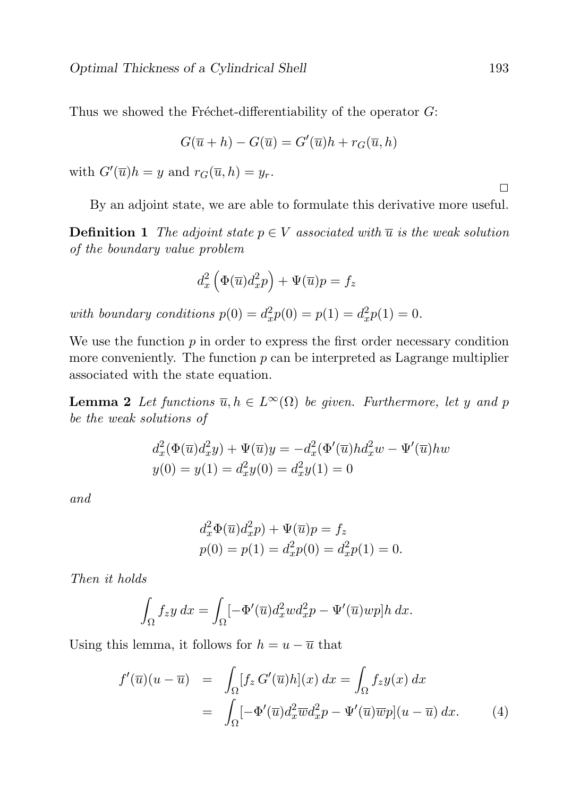Thus we showed the Fréchet-differentiability of the operator  $G$ :

$$
G(\overline{u} + h) - G(\overline{u}) = G'(\overline{u})h + r_G(\overline{u}, h)
$$

with  $G'(\overline{u})h = y$  and  $r_G(\overline{u}, h) = y_r$ .

By an adjoint state, we are able to formulate this derivative more useful.

**Definition 1** The adjoint state  $p \in V$  associated with  $\overline{u}$  is the weak solution of the boundary value problem

$$
d_x^2 \left( \Phi(\overline{u}) d_x^2 p \right) + \Psi(\overline{u}) p = f_z
$$

with boundary conditions  $p(0) = d_x^2 p(0) = p(1) = d_x^2 p(1) = 0$ .

We use the function  $p$  in order to express the first order necessary condition more conveniently. The function  $p$  can be interpreted as Lagrange multiplier associated with the state equation.

**Lemma 2** Let functions  $\overline{u}, h \in L^{\infty}(\Omega)$  be given. Furthermore, let y and p be the weak solutions of

$$
d_x^2(\Phi(\overline{u})d_x^2y) + \Psi(\overline{u})y = -d_x^2(\Phi'(\overline{u})hd_x^2w - \Psi'(\overline{u})hw
$$
  

$$
y(0) = y(1) = d_x^2y(0) = d_x^2y(1) = 0
$$

and

$$
d_x^2 \Phi(\overline{u}) d_x^2 p) + \Psi(\overline{u}) p = f_z
$$
  
 
$$
p(0) = p(1) = d_x^2 p(0) = d_x^2 p(1) = 0.
$$

Then it holds

$$
\int_{\Omega} f_z y \, dx = \int_{\Omega} \left[ -\Phi'(\overline{u}) d_x^2 w d_x^2 p - \Psi'(\overline{u}) w p \right] h \, dx.
$$

Using this lemma, it follows for  $h = u - \overline{u}$  that

$$
f'(\overline{u})(u - \overline{u}) = \int_{\Omega} [f_z G'(\overline{u})h](x) dx = \int_{\Omega} f_z y(x) dx
$$
  

$$
= \int_{\Omega} [-\Phi'(\overline{u})d_x^2 \overline{w}d_x^2 p - \Psi'(\overline{u})\overline{w}p](u - \overline{u}) dx. \tag{4}
$$

 $\Box$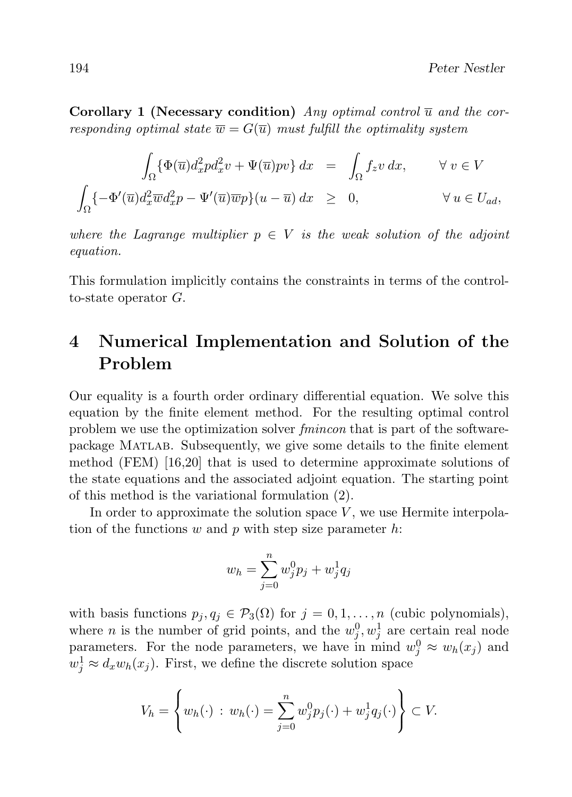Corollary 1 (Necessary condition) Any optimal control  $\overline{u}$  and the corresponding optimal state  $\overline{w} = G(\overline{u})$  must fulfill the optimality system

$$
\int_{\Omega} \{\Phi(\overline{u})d_x^2 p d_x^2 v + \Psi(\overline{u}) p v\} dx = \int_{\Omega} f_z v dx, \qquad \forall v \in V
$$

$$
\int_{\Omega} \{-\Phi'(\overline{u})d_x^2 \overline{w}d_x^2 p - \Psi'(\overline{u})\overline{w}p\} (u - \overline{u}) dx \ge 0, \qquad \forall u \in U_{ad},
$$

where the Lagrange multiplier  $p \in V$  is the weak solution of the adjoint equation.

This formulation implicitly contains the constraints in terms of the controlto-state operator G.

# 4 Numerical Implementation and Solution of the Problem

Our equality is a fourth order ordinary differential equation. We solve this equation by the finite element method. For the resulting optimal control problem we use the optimization solver fmincon that is part of the softwarepackage Matlab. Subsequently, we give some details to the finite element method (FEM) [16,20] that is used to determine approximate solutions of the state equations and the associated adjoint equation. The starting point of this method is the variational formulation (2).

In order to approximate the solution space  $V$ , we use Hermite interpolation of the functions  $w$  and  $p$  with step size parameter  $h$ :

$$
w_h = \sum_{j=0}^{n} w_j^0 p_j + w_j^1 q_j
$$

with basis functions  $p_j, q_j \in \mathcal{P}_3(\Omega)$  for  $j = 0, 1, ..., n$  (cubic polynomials), where *n* is the number of grid points, and the  $w_j^0, w_j^1$  are certain real node parameters. For the node parameters, we have in mind  $w_j^0 \approx w_h(x_j)$  and  $w_j^1 \approx d_x w_h(x_j)$ . First, we define the discrete solution space

$$
V_h = \left\{ w_h(\cdot) : w_h(\cdot) = \sum_{j=0}^n w_j^0 p_j(\cdot) + w_j^1 q_j(\cdot) \right\} \subset V.
$$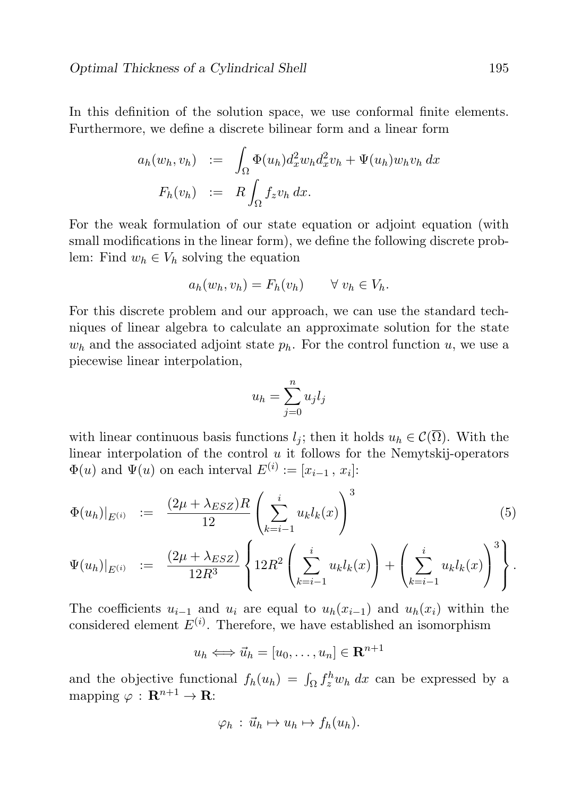In this definition of the solution space, we use conformal finite elements. Furthermore, we define a discrete bilinear form and a linear form

$$
a_h(w_h, v_h) := \int_{\Omega} \Phi(u_h) d_x^2 w_h d_x^2 v_h + \Psi(u_h) w_h v_h dx
$$
  

$$
F_h(v_h) := R \int_{\Omega} f_z v_h dx.
$$

For the weak formulation of our state equation or adjoint equation (with small modifications in the linear form), we define the following discrete problem: Find  $w_h \in V_h$  solving the equation

$$
a_h(w_h, v_h) = F_h(v_h) \qquad \forall \ v_h \in V_h.
$$

For this discrete problem and our approach, we can use the standard techniques of linear algebra to calculate an approximate solution for the state  $w<sub>h</sub>$  and the associated adjoint state  $p<sub>h</sub>$ . For the control function u, we use a piecewise linear interpolation,

$$
u_h = \sum_{j=0}^n u_j l_j
$$

with linear continuous basis functions  $l_j$ ; then it holds  $u_h \in \mathcal{C}(\overline{\Omega})$ . With the linear interpolation of the control  $u$  it follows for the Nemytskij-operators  $\Phi(u)$  and  $\Psi(u)$  on each interval  $E^{(i)} := [x_{i-1}, x_i]$ :

$$
\Phi(u_h)|_{E^{(i)}} := \frac{(2\mu + \lambda_{ESZ})R}{12} \left( \sum_{k=i-1}^i u_k l_k(x) \right)^3 \tag{5}
$$

$$
\Psi(u_h)|_{E^{(i)}} := \frac{(2\mu + \lambda_{ESZ})}{12R^3} \left\{ 12R^2 \left( \sum_{k=i-1}^i u_k l_k(x) \right) + \left( \sum_{k=i-1}^i u_k l_k(x) \right)^3 \right\}.
$$

The coefficients  $u_{i-1}$  and  $u_i$  are equal to  $u_h(x_{i-1})$  and  $u_h(x_i)$  within the considered element  $E^{(i)}$ . Therefore, we have established an isomorphism

$$
u_h \Longleftrightarrow \vec{u}_h = [u_0, \dots, u_n] \in \mathbf{R}^{n+1}
$$

and the objective functional  $f_h(u_h) = \int_{\Omega} f_x^h w_h dx$  can be expressed by a mapping  $\varphi : \mathbf{R}^{n+1} \to \mathbf{R}$ :

$$
\varphi_h : \vec{u}_h \mapsto u_h \mapsto f_h(u_h).
$$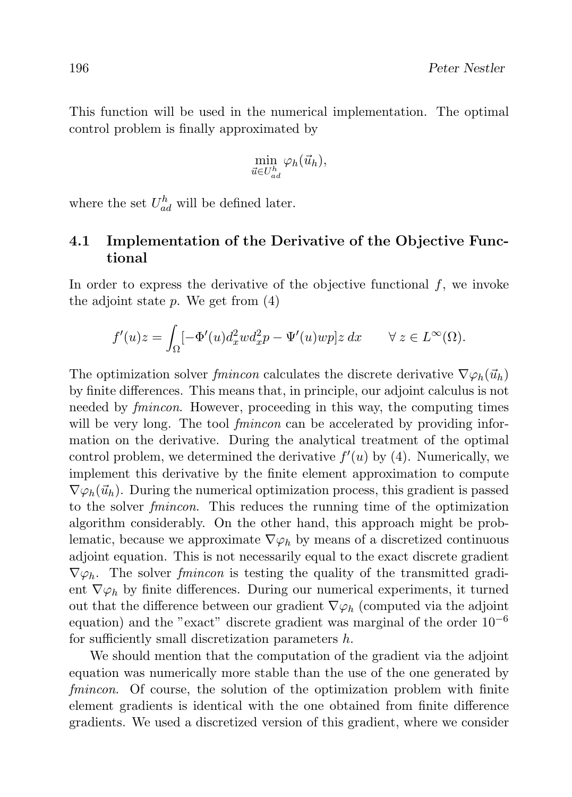This function will be used in the numerical implementation. The optimal control problem is finally approximated by

$$
\min_{\vec{u}\in U_{ad}^h}\varphi_h(\vec{u}_h),
$$

where the set  $U_{ad}^h$  will be defined later.

#### 4.1 Implementation of the Derivative of the Objective Functional

In order to express the derivative of the objective functional  $f$ , we invoke the adjoint state  $p$ . We get from  $(4)$ 

$$
f'(u)z = \int_{\Omega} \left[-\Phi'(u)d_x^2 w d_x^2 p - \Psi'(u)wp\right]z dx \qquad \forall z \in L^{\infty}(\Omega).
$$

The optimization solver fmincon calculates the discrete derivative  $\nabla \varphi_h(\vec{u}_h)$ by finite differences. This means that, in principle, our adjoint calculus is not needed by fmincon. However, proceeding in this way, the computing times will be very long. The tool *fmincon* can be accelerated by providing information on the derivative. During the analytical treatment of the optimal control problem, we determined the derivative  $f'(u)$  by (4). Numerically, we implement this derivative by the finite element approximation to compute  $\nabla \varphi_h(\vec{u}_h)$ . During the numerical optimization process, this gradient is passed to the solver fmincon. This reduces the running time of the optimization algorithm considerably. On the other hand, this approach might be problematic, because we approximate  $\nabla \varphi_h$  by means of a discretized continuous adjoint equation. This is not necessarily equal to the exact discrete gradient  $\nabla \varphi_h$ . The solver *fmincon* is testing the quality of the transmitted gradient  $\nabla \varphi_h$  by finite differences. During our numerical experiments, it turned out that the difference between our gradient  $\nabla \varphi_h$  (computed via the adjoint equation) and the "exact" discrete gradient was marginal of the order  $10^{-6}$ for sufficiently small discretization parameters h.

We should mention that the computation of the gradient via the adjoint equation was numerically more stable than the use of the one generated by fmincon. Of course, the solution of the optimization problem with finite element gradients is identical with the one obtained from finite difference gradients. We used a discretized version of this gradient, where we consider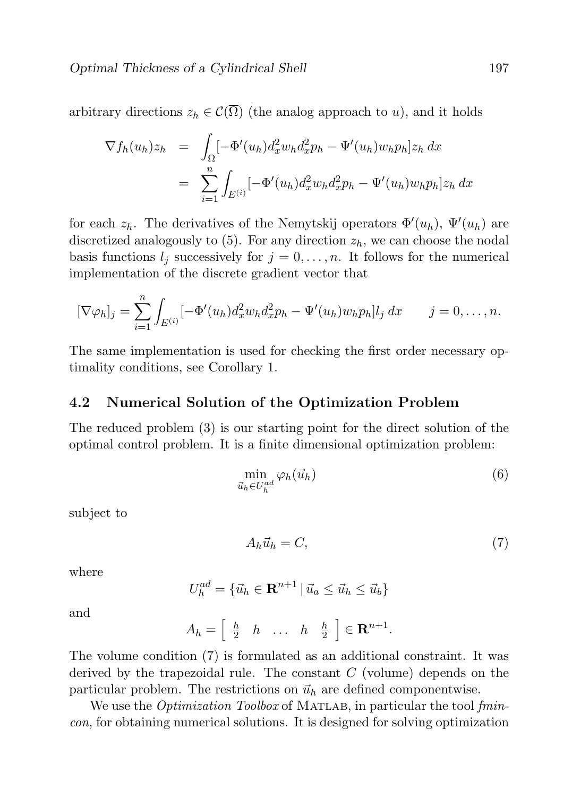arbitrary directions  $z_h \in \mathcal{C}(\overline{\Omega})$  (the analog approach to u), and it holds

$$
\nabla f_h(u_h) z_h = \int_{\Omega} \left[ -\Phi'(u_h) d_x^2 w_h d_x^2 p_h - \Psi'(u_h) w_h p_h \right] z_h dx
$$
  

$$
= \sum_{i=1}^n \int_{E^{(i)}} \left[ -\Phi'(u_h) d_x^2 w_h d_x^2 p_h - \Psi'(u_h) w_h p_h \right] z_h dx
$$

for each  $z_h$ . The derivatives of the Nemytskij operators  $\Phi'(u_h)$ ,  $\Psi'(u_h)$  are discretized analogously to  $(5)$ . For any direction  $z<sub>h</sub>$ , we can choose the nodal basis functions  $l_j$  successively for  $j = 0, \ldots, n$ . It follows for the numerical implementation of the discrete gradient vector that

$$
[\nabla \varphi_h]_j = \sum_{i=1}^n \int_{E^{(i)}} [-\Phi'(u_h) d_x^2 w_h d_x^2 p_h - \Psi'(u_h) w_h p_h] l_j dx \qquad j = 0, \dots, n.
$$

The same implementation is used for checking the first order necessary optimality conditions, see Corollary 1.

#### 4.2 Numerical Solution of the Optimization Problem

The reduced problem (3) is our starting point for the direct solution of the optimal control problem. It is a finite dimensional optimization problem:

$$
\min_{\vec{u}_h \in U_h^{ad}} \varphi_h(\vec{u}_h) \tag{6}
$$

subject to

$$
A_h \vec{u}_h = C,\t\t(7)
$$

where

$$
U_h^{ad} = \{ \vec{u}_h \in \mathbf{R}^{n+1} \mid \vec{u}_a \leq \vec{u}_h \leq \vec{u}_b \}
$$

and

$$
A_h = \left[ \begin{array}{cccc} \frac{h}{2} & h & \dots & h & \frac{h}{2} \end{array} \right] \in \mathbf{R}^{n+1}.
$$

The volume condition (7) is formulated as an additional constraint. It was derived by the trapezoidal rule. The constant  $C$  (volume) depends on the particular problem. The restrictions on  $\vec{u}_h$  are defined componentwise.

We use the *Optimization Toolbox* of MATLAB, in particular the tool fmincon, for obtaining numerical solutions. It is designed for solving optimization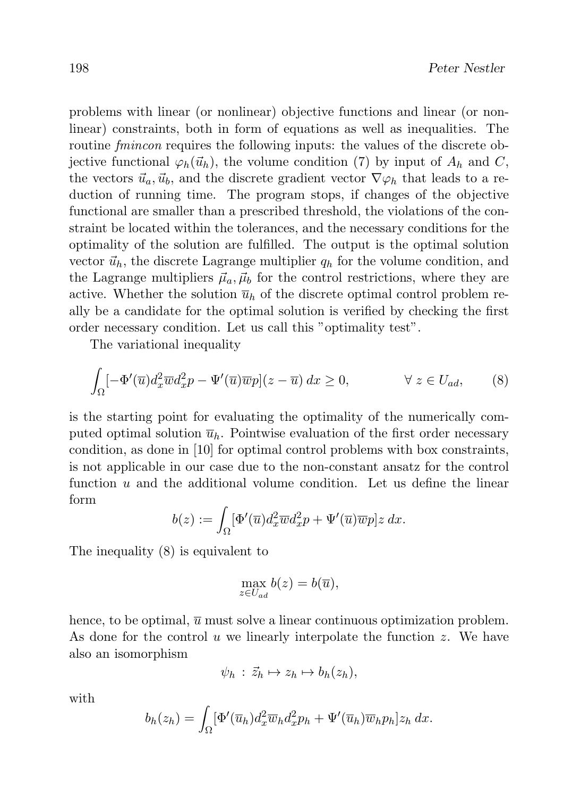problems with linear (or nonlinear) objective functions and linear (or nonlinear) constraints, both in form of equations as well as inequalities. The routine *fmincon* requires the following inputs: the values of the discrete objective functional  $\varphi_h(\vec{u}_h)$ , the volume condition (7) by input of  $A_h$  and C, the vectors  $\vec{u}_a, \vec{u}_b$ , and the discrete gradient vector  $\nabla \varphi_h$  that leads to a reduction of running time. The program stops, if changes of the objective functional are smaller than a prescribed threshold, the violations of the constraint be located within the tolerances, and the necessary conditions for the optimality of the solution are fulfilled. The output is the optimal solution vector  $\vec{u}_h$ , the discrete Lagrange multiplier  $q_h$  for the volume condition, and the Lagrange multipliers  $\vec{\mu}_a$ ,  $\vec{\mu}_b$  for the control restrictions, where they are active. Whether the solution  $\bar{u}_h$  of the discrete optimal control problem really be a candidate for the optimal solution is verified by checking the first order necessary condition. Let us call this "optimality test".

The variational inequality

$$
\int_{\Omega} \left[ -\Phi'(\overline{u}) d_x^2 \overline{w} d_x^2 p - \Psi'(\overline{u}) \overline{w} p \right] (z - \overline{u}) dx \ge 0, \qquad \forall z \in U_{ad}, \qquad (8)
$$

is the starting point for evaluating the optimality of the numerically computed optimal solution  $\bar{u}_h$ . Pointwise evaluation of the first order necessary condition, as done in [10] for optimal control problems with box constraints, is not applicable in our case due to the non-constant ansatz for the control function  $u$  and the additional volume condition. Let us define the linear form

$$
b(z) := \int_{\Omega} [\Phi'(\overline{u}) d_x^2 \overline{w} d_x^2 p + \Psi'(\overline{u}) \overline{w} p] z \, dx.
$$

The inequality (8) is equivalent to

$$
\max_{z \in U_{ad}} b(z) = b(\overline{u}),
$$

hence, to be optimal,  $\overline{u}$  must solve a linear continuous optimization problem. As done for the control u we linearly interpolate the function  $z$ . We have also an isomorphism

$$
\psi_h : \vec{z}_h \mapsto z_h \mapsto b_h(z_h),
$$

with

$$
b_h(z_h) = \int_{\Omega} [\Phi'(\overline{u}_h) d_x^2 \overline{w}_h d_x^2 p_h + \Psi'(\overline{u}_h) \overline{w}_h p_h] z_h dx.
$$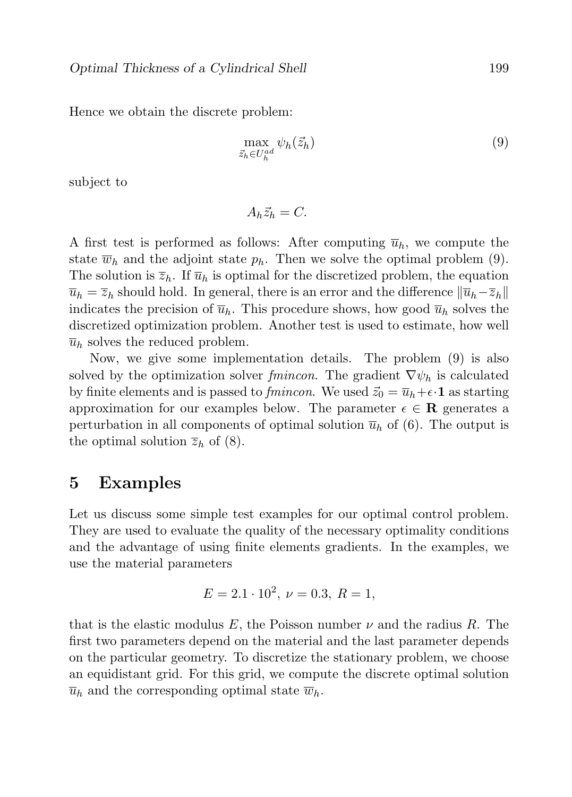Hence we obtain the discrete problem:

$$
\max_{\vec{z}_h \in U_h^{ad}} \psi_h(\vec{z}_h) \tag{9}
$$

subject to

$$
A_h \vec{z}_h = C.
$$

A first test is performed as follows: After computing  $\overline{u}_h$ , we compute the state  $\overline{w}_h$  and the adjoint state  $p_h$ . Then we solve the optimal problem (9). The solution is  $\overline{z}_h$ . If  $\overline{u}_h$  is optimal for the discretized problem, the equation  $\overline{u}_h = \overline{z}_h$  should hold. In general, there is an error and the difference  $\|\overline{u}_h-\overline{z}_h\|$ indicates the precision of  $\overline{u}_h$ . This procedure shows, how good  $\overline{u}_h$  solves the discretized optimization problem. Another test is used to estimate, how well  $\overline{u}_h$  solves the reduced problem.

Now, we give some implementation details. The problem (9) is also solved by the optimization solver fmincon. The gradient  $\nabla \psi_h$  is calculated by finite elements and is passed to *fmincon*. We used  $\vec{z}_0 = \overline{u}_h + \epsilon \cdot \mathbf{1}$  as starting approximation for our examples below. The parameter  $\epsilon \in \mathbf{R}$  generates a perturbation in all components of optimal solution  $\overline{u}_h$  of (6). The output is the optimal solution  $\overline{z}_h$  of (8).

#### 5 Examples

Let us discuss some simple test examples for our optimal control problem. They are used to evaluate the quality of the necessary optimality conditions and the advantage of using finite elements gradients. In the examples, we use the material parameters

$$
E = 2.1 \cdot 10^2, \ \nu = 0.3, \ R = 1,
$$

that is the elastic modulus E, the Poisson number  $\nu$  and the radius R. The first two parameters depend on the material and the last parameter depends on the particular geometry. To discretize the stationary problem, we choose an equidistant grid. For this grid, we compute the discrete optimal solution  $\overline{u}_h$  and the corresponding optimal state  $\overline{w}_h$ .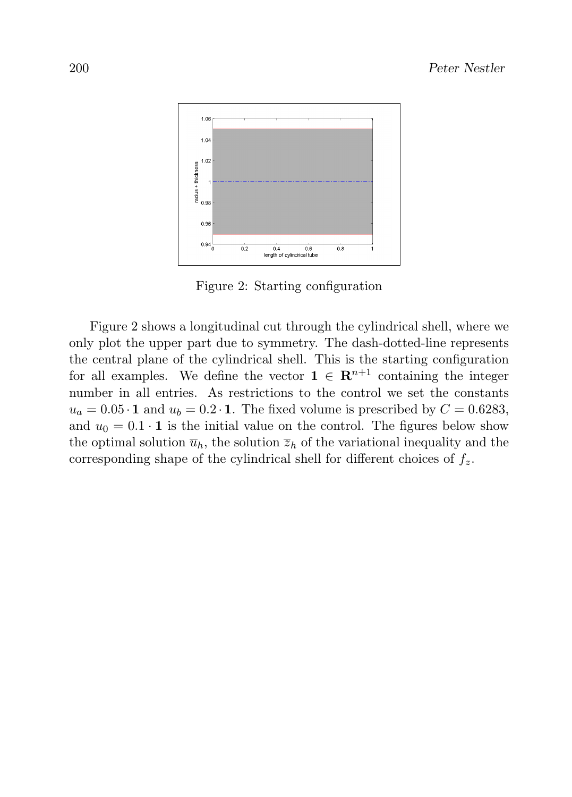

Figure 2: Starting configuration

Figure 2 shows a longitudinal cut through the cylindrical shell, where we only plot the upper part due to symmetry. The dash-dotted-line represents the central plane of the cylindrical shell. This is the starting configuration for all examples. We define the vector  $\mathbf{1} \in \mathbb{R}^{n+1}$  containing the integer number in all entries. As restrictions to the control we set the constants  $u_a = 0.05 \cdot \mathbf{1}$  and  $u_b = 0.2 \cdot \mathbf{1}$ . The fixed volume is prescribed by  $C = 0.6283$ , and  $u_0 = 0.1 \cdot 1$  is the initial value on the control. The figures below show the optimal solution  $\overline{u}_h$ , the solution  $\overline{z}_h$  of the variational inequality and the corresponding shape of the cylindrical shell for different choices of  $f<sub>z</sub>$ .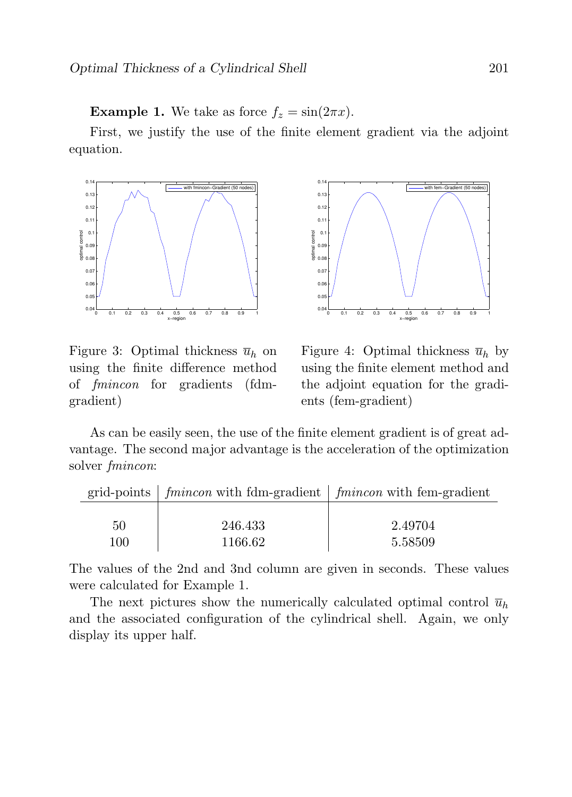**Example 1.** We take as force  $f_z = \sin(2\pi x)$ .

First, we justify the use of the finite element gradient via the adjoint equation.



Figure 3: Optimal thickness  $\overline{u}_h$  on using the finite difference method of fmincon for gradients (fdmgradient)



Figure 4: Optimal thickness  $\bar{u}_h$  by using the finite element method and the adjoint equation for the gradients (fem-gradient)

As can be easily seen, the use of the finite element gradient is of great advantage. The second major advantage is the acceleration of the optimization solver fmincon:

|     | grid-points $\int fmincon$ with fdm-gradient $\int fmincon$ with fem-gradient |         |
|-----|-------------------------------------------------------------------------------|---------|
|     |                                                                               |         |
| 50  | 246.433                                                                       | 2.49704 |
| 100 | 1166.62                                                                       | 5.58509 |

The values of the 2nd and 3nd column are given in seconds. These values were calculated for Example 1.

The next pictures show the numerically calculated optimal control  $\bar{u}_h$ and the associated configuration of the cylindrical shell. Again, we only display its upper half.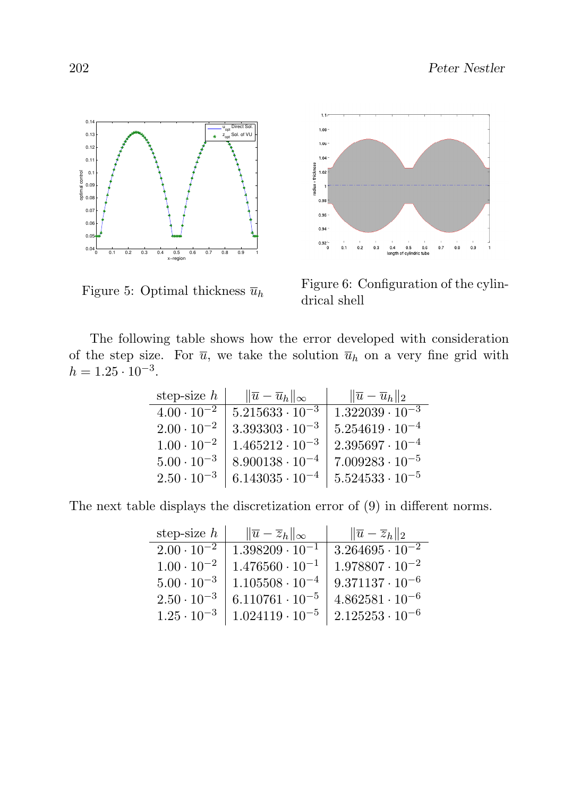



Figure 5: Optimal thickness  $\overline{u}_h$ 

Figure 6: Configuration of the cylindrical shell

The following table shows how the error developed with consideration of the step size. For  $\overline{u}$ , we take the solution  $\overline{u}_h$  on a very fine grid with  $h = 1.25 \cdot 10^{-3}$ .

| step-size $h$        | $\ \overline{u}-\overline{u}_h\ _{\infty}$ | $\ \overline{u}-\overline{u}_h\ _2$ |
|----------------------|--------------------------------------------|-------------------------------------|
| $4.00 \cdot 10^{-2}$ | $5.215633 \cdot 10^{-3}$                   | $1.322039 \cdot 10^{-3}$            |
| $2.00 \cdot 10^{-2}$ | $3.393303 \cdot 10^{-3}$                   | $5.254619 \cdot 10^{-4}$            |
| $1.00 \cdot 10^{-2}$ | $1.465212 \cdot 10^{-3}$                   | $2.395697 \cdot 10^{-4}$            |
| $5.00 \cdot 10^{-3}$ | $8.900138 \cdot 10^{-4}$                   | $7.009283 \cdot 10^{-5}$            |
| $2.50 \cdot 10^{-3}$ | $6.143035 \cdot 10^{-4}$                   | $5.524533 \cdot 10^{-5}$            |

The next table displays the discretization error of (9) in different norms.

| step-size $h$        | $\ \overline{u}-\overline{z}_h\ _{\infty}$ | $\ \overline{u}-\overline{z}_h\ _2$ |
|----------------------|--------------------------------------------|-------------------------------------|
| $2.00 \cdot 10^{-2}$ | $1.398209 \cdot 10^{-1}$                   | $3.264695 \cdot 10^{-2}$            |
| $1.00 \cdot 10^{-2}$ | $1.476560 \cdot 10^{-1}$                   | $1.978807 \cdot 10^{-2}$            |
| $5.00 \cdot 10^{-3}$ | $1.105508 \cdot 10^{-4}$                   | $9.371137 \cdot 10^{-6}$            |
| $2.50 \cdot 10^{-3}$ | $6.110761 \cdot 10^{-5}$                   | $4.862581 \cdot 10^{-6}$            |
| $1.25 \cdot 10^{-3}$ | $1.024119 \cdot 10^{-5}$                   | $2.125253 \cdot 10^{-6}$            |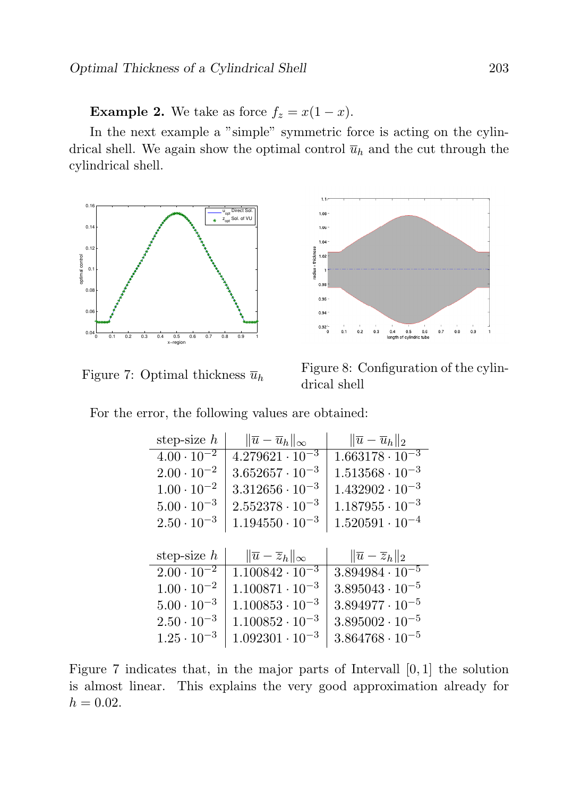**Example 2.** We take as force  $f_z = x(1-x)$ .

In the next example a "simple" symmetric force is acting on the cylindrical shell. We again show the optimal control  $\overline{u}_h$  and the cut through the cylindrical shell.



Figure 7: Optimal thickness  $\overline{u}_h$ 



Figure 8: Configuration of the cylindrical shell

|  |  |  |  | For the error, the following values are obtained: |  |  |  |  |
|--|--|--|--|---------------------------------------------------|--|--|--|--|
|--|--|--|--|---------------------------------------------------|--|--|--|--|

| step-size $h$                   | $\ \overline{u}-\overline{u}_h\ _{\infty}$ | $\ \overline{u}-\overline{u}_h\ _2$ |
|---------------------------------|--------------------------------------------|-------------------------------------|
| $4.00 \cdot \overline{10^{-2}}$ | $4.279621 \cdot 10^{-3}$                   | $1.663178 \cdot 10^{-3}$            |
| $2.00 \cdot 10^{-2}$            | $3.652657 \cdot 10^{-3}$                   | $1.513568 \cdot 10^{-3}$            |
| $1.00 \cdot 10^{-2}$            | $3.312656 \cdot 10^{-3}$                   | $1.432902 \cdot 10^{-3}$            |
| $5.00 \cdot 10^{-3}$            | $2.552378 \cdot 10^{-3}$                   | $1.187955 \cdot 10^{-3}$            |
| $2.50 \cdot 10^{-3}$            | $1.194550 \cdot 10^{-3}$                   | $1.520591 \cdot 10^{-4}$            |
|                                 |                                            |                                     |
|                                 |                                            |                                     |
| step-size $h$                   | $\ \overline{u}-\overline{z}_h\ _{\infty}$ | $\ \overline{u}-\overline{z}_h\ _2$ |
| $2.00 \cdot 10^{-2}$            | $1.100842 \cdot 10^{-3}$                   | $3.894984 \cdot 10^{-5}$            |
| $1.00 \cdot 10^{-2}$            | $1.100871 \cdot 10^{-3}$                   | $3.895043 \cdot 10^{-5}$            |
| $5.00 \cdot 10^{-3}$            | $1.100853 \cdot 10^{-3}$                   | $3.894977 \cdot 10^{-5}$            |
| $2.50 \cdot 10^{-3}$            | $1.100852 \cdot 10^{-3}$                   | $3.895002 \cdot 10^{-5}$            |

Figure 7 indicates that, in the major parts of Intervall [0, 1] the solution is almost linear. This explains the very good approximation already for  $h = 0.02$ .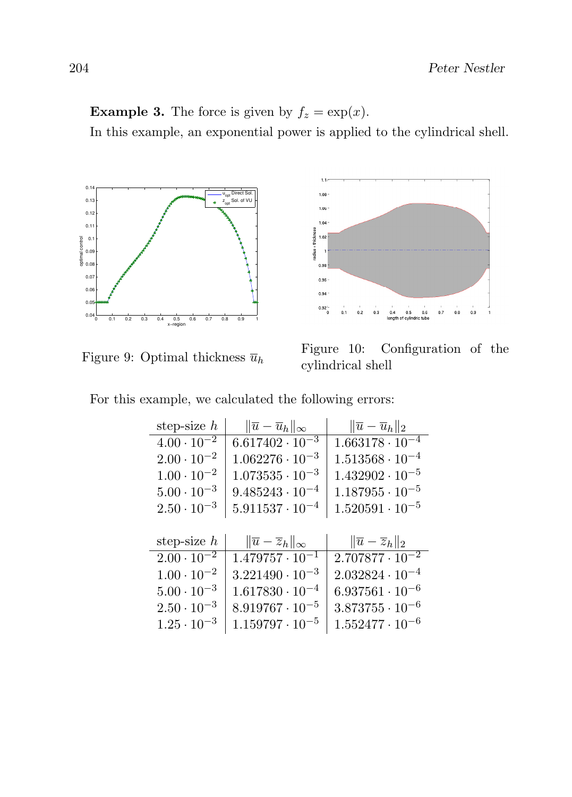## **Example 3.** The force is given by  $f_z = \exp(x)$ .

In this example, an exponential power is applied to the cylindrical shell.







Figure 10: Configuration of the cylindrical shell

|  |  |  |  | For this example, we calculated the following errors: |  |  |  |
|--|--|--|--|-------------------------------------------------------|--|--|--|
|--|--|--|--|-------------------------------------------------------|--|--|--|

| step-size $h$        | $\ \overline{u}-\overline{u}_h\ _{\infty}$ | $\ \overline{u}-\overline{u}_h\ _2$ |
|----------------------|--------------------------------------------|-------------------------------------|
| $4.00 \cdot 10^{-2}$ | $6.617402 \cdot 10^{-3}$                   | $1.663178 \cdot 10^{-4}$            |
| $2.00 \cdot 10^{-2}$ | $1.062276 \cdot 10^{-3}$                   | $1.513568 \cdot 10^{-4}$            |
| $1.00 \cdot 10^{-2}$ | $1.073535 \cdot 10^{-3}$                   | $1.432902 \cdot 10^{-5}$            |
| $5.00 \cdot 10^{-3}$ | $9.485243 \cdot 10^{-4}$                   | $1.187955 \cdot 10^{-5}$            |
| $2.50 \cdot 10^{-3}$ | $5.911537 \cdot 10^{-4}$                   | $1.520591 \cdot 10^{-5}$            |
|                      |                                            |                                     |
|                      |                                            |                                     |
| step-size $h$        | $\ \overline{u}-\overline{z}_h\ _{\infty}$ | $\ \overline{u}-\overline{z}_h\ _2$ |
| $2.00 \cdot 10^{-2}$ | $1.479\overline{757\cdot 10^{-1}}$         | $2.707877 \cdot 10^{-2}$            |
| $1.00 \cdot 10^{-2}$ | $3.221490 \cdot 10^{-3}$                   | $2.032824 \cdot 10^{-4}$            |
| $5.00 \cdot 10^{-3}$ | $1.617830 \cdot 10^{-4}$                   | $6.937561 \cdot 10^{-6}$            |
| $2.50 \cdot 10^{-3}$ | $8.919767 \cdot 10^{-5}$                   | $3.873755 \cdot 10^{-6}$            |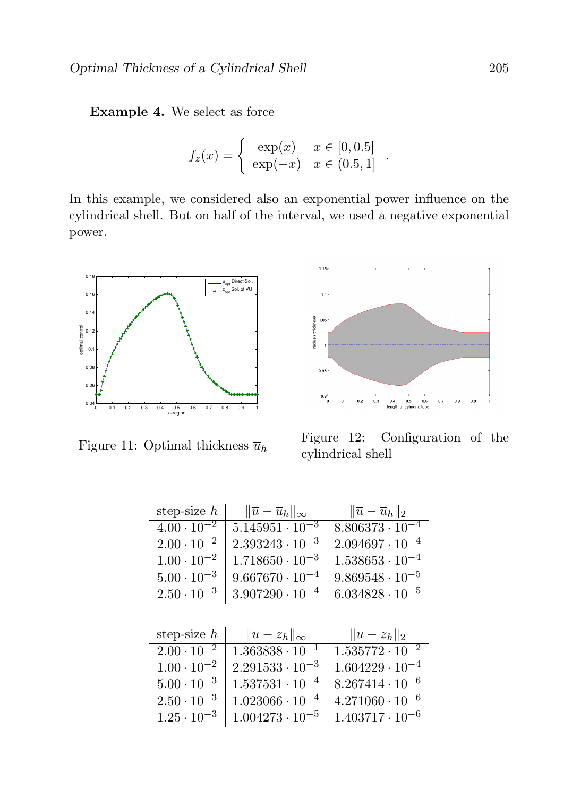Example 4. We select as force

$$
f_z(x) = \begin{cases} \exp(x) & x \in [0, 0.5] \\ \exp(-x) & x \in (0.5, 1] \end{cases}
$$

In this example, we considered also an exponential power influence on the cylindrical shell. But on half of the interval, we used a negative exponential power.



Figure 11: Optimal thickness  $\overline{u}_h$ 



Figure 12: Configuration of the cylindrical shell

| step-size $h$        | $\ \overline{u}-\overline{u}_h\ _{\infty}$ | $\ \overline{u}-\overline{u}_h\ _2$ |
|----------------------|--------------------------------------------|-------------------------------------|
| $4.00 \cdot 10^{-2}$ | $5.145951 \cdot 10^{-3}$                   | $8.806373 \cdot 10^{-4}$            |
| $2.00 \cdot 10^{-2}$ | $2.393243 \cdot 10^{-3}$                   | $2.094697 \cdot 10^{-4}$            |
| $1.00 \cdot 10^{-2}$ | $1.718650 \cdot 10^{-3}$                   | $1.538653 \cdot 10^{-4}$            |
| $5.00 \cdot 10^{-3}$ | $9.667670 \cdot 10^{-4}$                   | $9.869548 \cdot 10^{-5}$            |
| $2.50 \cdot 10^{-3}$ | $3.907290 \cdot 10^{-4}$                   | $6.034828 \cdot 10^{-5}$            |
|                      |                                            |                                     |
|                      |                                            |                                     |

| step-size $h$        | $\ \overline{u}-\overline{z}_h\ _{\infty}$ | $\ \overline{u}-\overline{z}_h\ _2$ |
|----------------------|--------------------------------------------|-------------------------------------|
| $2.00 \cdot 10^{-2}$ | $1.363838 \cdot 10^{-1}$                   | $1.535772 \cdot 10^{-2}$            |
| $1.00 \cdot 10^{-2}$ | $2.291533 \cdot 10^{-3}$                   | $1.604229 \cdot 10^{-4}$            |
| $5.00 \cdot 10^{-3}$ | $1.537531 \cdot 10^{-4}$                   | $8.267414 \cdot 10^{-6}$            |
| $2.50 \cdot 10^{-3}$ | $1.023066 \cdot 10^{-4}$                   | $4.271060 \cdot 10^{-6}$            |
| $1.25 \cdot 10^{-3}$ | $1.004273 \cdot 10^{-5}$                   | $1.403717 \cdot 10^{-6}$            |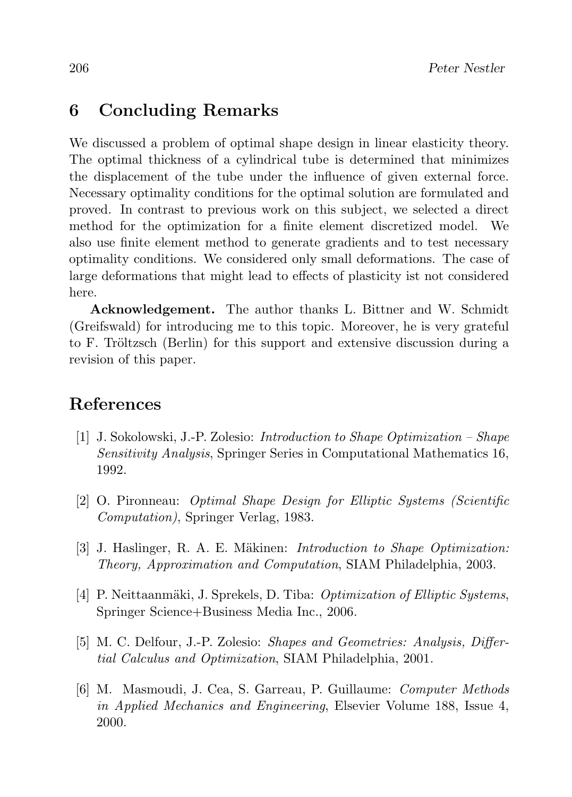### 6 Concluding Remarks

We discussed a problem of optimal shape design in linear elasticity theory. The optimal thickness of a cylindrical tube is determined that minimizes the displacement of the tube under the influence of given external force. Necessary optimality conditions for the optimal solution are formulated and proved. In contrast to previous work on this subject, we selected a direct method for the optimization for a finite element discretized model. We also use finite element method to generate gradients and to test necessary optimality conditions. We considered only small deformations. The case of large deformations that might lead to effects of plasticity ist not considered here.

Acknowledgement. The author thanks L. Bittner and W. Schmidt (Greifswald) for introducing me to this topic. Moreover, he is very grateful to F. Tröltzsch (Berlin) for this support and extensive discussion during a revision of this paper.

## References

- [1] J. Sokolowski, J.-P. Zolesio: Introduction to Shape Optimization Shape Sensitivity Analysis, Springer Series in Computational Mathematics 16, 1992.
- [2] O. Pironneau: Optimal Shape Design for Elliptic Systems (Scientific Computation), Springer Verlag, 1983.
- [3] J. Haslinger, R. A. E. Mäkinen: *Introduction to Shape Optimization:* Theory, Approximation and Computation, SIAM Philadelphia, 2003.
- [4] P. Neittaanmäki, J. Sprekels, D. Tiba: *Optimization of Elliptic Systems*, Springer Science+Business Media Inc., 2006.
- [5] M. C. Delfour, J.-P. Zolesio: Shapes and Geometries: Analysis, Differtial Calculus and Optimization, SIAM Philadelphia, 2001.
- [6] M. Masmoudi, J. Cea, S. Garreau, P. Guillaume: Computer Methods in Applied Mechanics and Engineering, Elsevier Volume 188, Issue 4, 2000.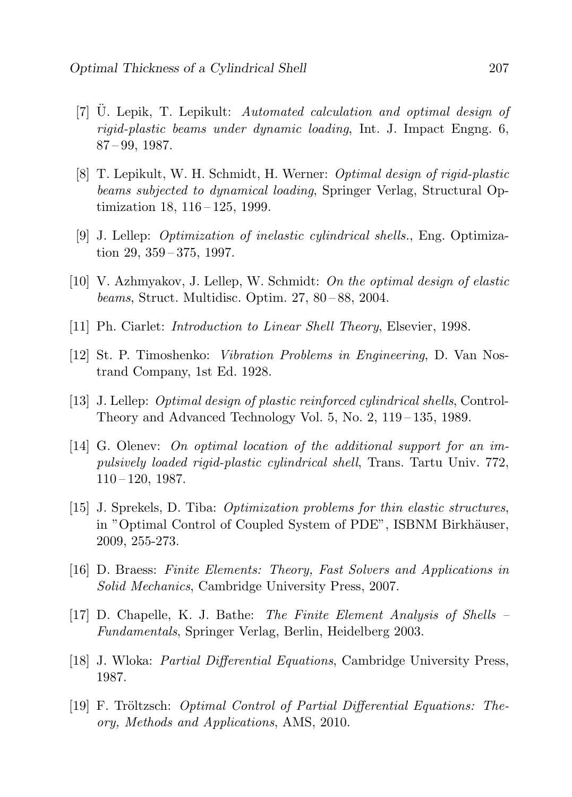- [7] U. Lepik, T. Lepikult: Automated calculation and optimal design of rigid-plastic beams under dynamic loading, Int. J. Impact Engng. 6, 87 – 99, 1987.
- [8] T. Lepikult, W. H. Schmidt, H. Werner: Optimal design of rigid-plastic beams subjected to dynamical loading, Springer Verlag, Structural Optimization 18, 116 – 125, 1999.
- [9] J. Lellep: Optimization of inelastic cylindrical shells., Eng. Optimization 29, 359 – 375, 1997.
- [10] V. Azhmyakov, J. Lellep, W. Schmidt: On the optimal design of elastic beams, Struct. Multidisc. Optim. 27, 80 – 88, 2004.
- [11] Ph. Ciarlet: *Introduction to Linear Shell Theory*, Elsevier, 1998.
- [12] St. P. Timoshenko: Vibration Problems in Engineering, D. Van Nostrand Company, 1st Ed. 1928.
- [13] J. Lellep: Optimal design of plastic reinforced cylindrical shells, Control-Theory and Advanced Technology Vol. 5, No. 2, 119 – 135, 1989.
- [14] G. Olenev: On optimal location of the additional support for an impulsively loaded rigid-plastic cylindrical shell, Trans. Tartu Univ. 772,  $110 - 120$ , 1987.
- [15] J. Sprekels, D. Tiba: Optimization problems for thin elastic structures, in "Optimal Control of Coupled System of PDE", ISBNM Birkhäuser, 2009, 255-273.
- [16] D. Braess: Finite Elements: Theory, Fast Solvers and Applications in Solid Mechanics, Cambridge University Press, 2007.
- [17] D. Chapelle, K. J. Bathe: The Finite Element Analysis of Shells Fundamentals, Springer Verlag, Berlin, Heidelberg 2003.
- [18] J. Wloka: Partial Differential Equations, Cambridge University Press, 1987.
- [19] F. Tröltzsch: *Optimal Control of Partial Differential Equations: The*ory, Methods and Applications, AMS, 2010.